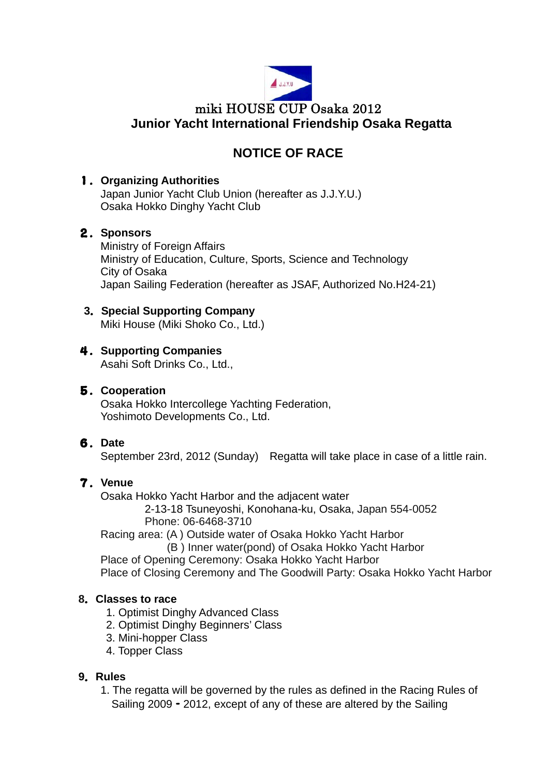

# **NOTICE OF RACE**

# 1.**Organizing Authorities**

Japan Junior Yacht Club Union (hereafter as J.J.Y.U.) Osaka Hokko Dinghy Yacht Club

# 2.**Sponsors**

 Ministry of Foreign Affairs Ministry of Education, Culture, Sports, Science and Technology City of Osaka Japan Sailing Federation (hereafter as JSAF, Authorized No.H24-21)

# **3**.**Special Supporting Company**

Miki House (Miki Shoko Co., Ltd.)

# 4.**Supporting Companies**

Asahi Soft Drinks Co., Ltd.,

# 5.**Cooperation**

Osaka Hokko Intercollege Yachting Federation, Yoshimoto Developments Co., Ltd.

# 6.**Date**

September 23rd, 2012 (Sunday) Regatta will take place in case of a little rain.

# 7.**Venue**

Osaka Hokko Yacht Harbor and the adjacent water

 2-13-18 Tsuneyoshi, Konohana-ku, Osaka, Japan 554-0052 Phone: 06-6468-3710

Racing area: (A ) Outside water of Osaka Hokko Yacht Harbor

(B ) Inner water(pond) of Osaka Hokko Yacht Harbor

Place of Opening Ceremony: Osaka Hokko Yacht Harbor

Place of Closing Ceremony and The Goodwill Party: Osaka Hokko Yacht Harbor

# **8**.**Classes to race**

- 1. Optimist Dinghy Advanced Class
- 2. Optimist Dinghy Beginners' Class
- 3. Mini-hopper Class
- 4. Topper Class

# **9**.**Rules**

1. The regatta will be governed by the rules as defined in the Racing Rules of Sailing 2009 - 2012, except of any of these are altered by the Sailing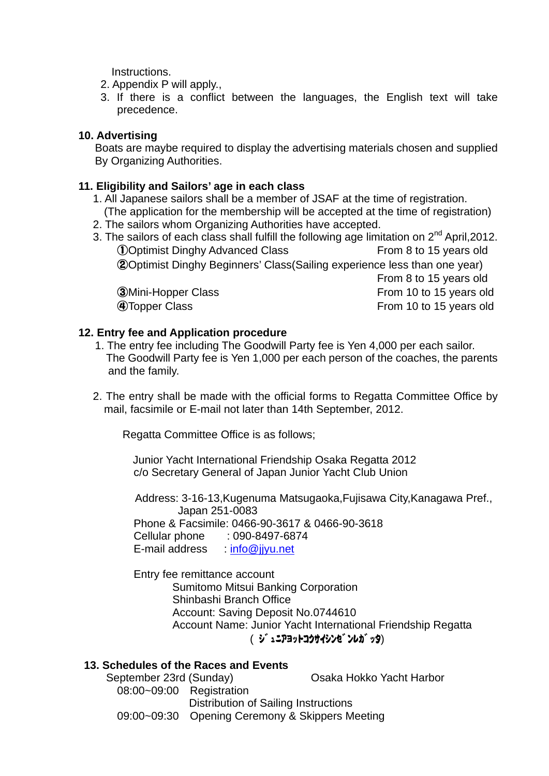Instructions.

- 2. Appendix P will apply.,
- 3. If there is a conflict between the languages, the English text will take precedence.

### **10. Advertising**

Boats are maybe required to display the advertising materials chosen and supplied By Organizing Authorities.

#### **11. Eligibility and Sailors' age in each class**

- 1. All Japanese sailors shall be a member of JSAF at the time of registration. (The application for the membership will be accepted at the time of registration)
- 2. The sailors whom Organizing Authorities have accepted.
- 3. The sailors of each class shall fulfill the following age limitation on 2<sup>nd</sup> April,2012. **(1)** Optimist Dinghy Advanced Class From 8 to 15 years old ②Optimist Dinghy Beginners' Class(Sailing experience less than one year) From 8 to 15 years old 3 Mini-Hopper Class **State Class** From 10 to 15 years old ④Topper Class From 10 to 15 years old

#### **12. Entry fee and Application procedure**

- 1. The entry fee including The Goodwill Party fee is Yen 4,000 per each sailor. The Goodwill Party fee is Yen 1,000 per each person of the coaches, the parents and the family.
- 2. The entry shall be made with the official forms to Regatta Committee Office by mail, facsimile or E-mail not later than 14th September, 2012.

Regatta Committee Office is as follows;

Junior Yacht International Friendship Osaka Regatta 2012 c/o Secretary General of Japan Junior Yacht Club Union

Address: 3-16-13,Kugenuma Matsugaoka,Fujisawa City,Kanagawa Pref., Japan 251-0083 Phone & Facsimile: 0466-90-3617 & 0466-90-3618 Cellular phone : 090-8497-6874 E-mail address : [info@jjyu.net](mailto:info@jjyu.net)

**Entry fee remittance account**  Sumitomo Mitsui Banking Corporation Shinbashi Branch Office Account: Saving Deposit No.0744610 Account Name: Junior Yacht International Friendship Regatta ( ジ゙ュニアヨットコクサイシンゼンレガッタ)

#### **13. Schedules of the Races and Events**

 September 23rd (Sunday) Osaka Hokko Yacht Harbor 08:00~09:00 Registration Distribution of Sailing Instructions 09:00~09:30 Opening Ceremony & Skippers Meeting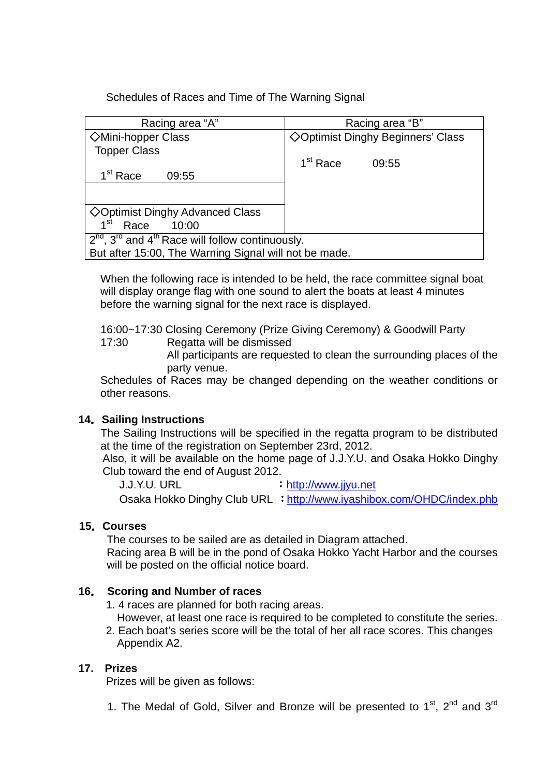Schedules of Races and Time of The Warning Signal

| Racing area "A"                                                            | Racing area "B"                          |
|----------------------------------------------------------------------------|------------------------------------------|
| <b>◇Mini-hopper Class</b>                                                  | <b>◇Optimist Dinghy Beginners' Class</b> |
| <b>Topper Class</b>                                                        |                                          |
|                                                                            | 1 <sup>st</sup> Race<br>09:55            |
| 1 <sup>st</sup> Race<br>09:55                                              |                                          |
|                                                                            |                                          |
|                                                                            |                                          |
| $\Diamond$ Optimist Dinghy Advanced Class                                  |                                          |
| 10:00<br>1 <sup>st</sup><br>Race                                           |                                          |
| $\overline{2^{nd}}$ , $3^{rd}$ and $4^{th}$ Race will follow continuously. |                                          |
| But after 15:00, The Warning Signal will not be made.                      |                                          |

When the following race is intended to be held, the race committee signal boat will display orange flag with one sound to alert the boats at least 4 minutes before the warning signal for the next race is displayed.

16:00~17:30 Closing Ceremony (Prize Giving Ceremony) & Goodwill Party

17:30 Regatta will be dismissed

All participants are requested to clean the surrounding places of the party venue.

Schedules of Races may be changed depending on the weather conditions or other reasons.

# **14**.**Sailing Instructions**

The Sailing Instructions will be specified in the regatta program to be distributed at the time of the registration on September 23rd, 2012.

Also, it will be available on the home page of J.J.Y.U. and Osaka Hokko Dinghy Club toward the end of August 2012.

J.J.Y.U. URL : [http://www.jjyu.net](http://www.jjyu.net/) Osaka Hokko Dinghy Club URL :<http://www.iyashibox.com/OHDC/index.phb>

# **15**.**Courses**

The courses to be sailed are as detailed in Diagram attached.

 Racing area B will be in the pond of Osaka Hokko Yacht Harbor and the courses will be posted on the official notice board.

# **16**. **Scoring and Number of races**

- 1. 4 races are planned for both racing areas.
- However, at least one race is required to be completed to constitute the series.
- 2. Each boat's series score will be the total of her all race scores. This changes Appendix A2.

# **17. Prizes**

Prizes will be given as follows:

1. The Medal of Gold, Silver and Bronze will be presented to  $1<sup>st</sup>$ ,  $2<sup>nd</sup>$  and  $3<sup>rd</sup>$